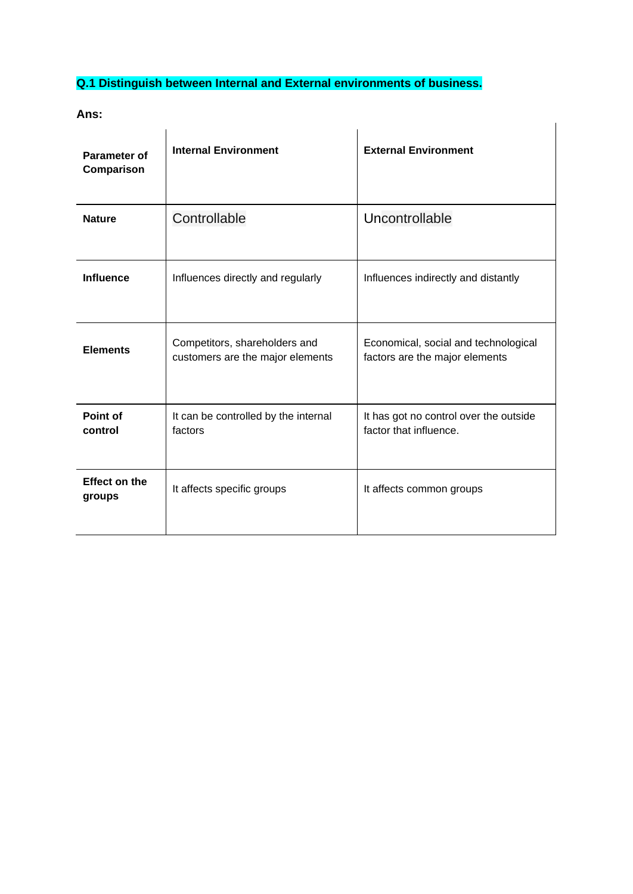## **Q.1 Distinguish between Internal and External environments of business.**

**Ans:** 

| Parameter of<br>Comparison     | <b>Internal Environment</b>                                       | <b>External Environment</b>                                            |
|--------------------------------|-------------------------------------------------------------------|------------------------------------------------------------------------|
| <b>Nature</b>                  | Controllable                                                      | Uncontrollable                                                         |
| <b>Influence</b>               | Influences directly and regularly                                 | Influences indirectly and distantly                                    |
| <b>Elements</b>                | Competitors, shareholders and<br>customers are the major elements | Economical, social and technological<br>factors are the major elements |
| Point of<br>control            | It can be controlled by the internal<br>factors                   | It has got no control over the outside<br>factor that influence.       |
| <b>Effect on the</b><br>groups | It affects specific groups                                        | It affects common groups                                               |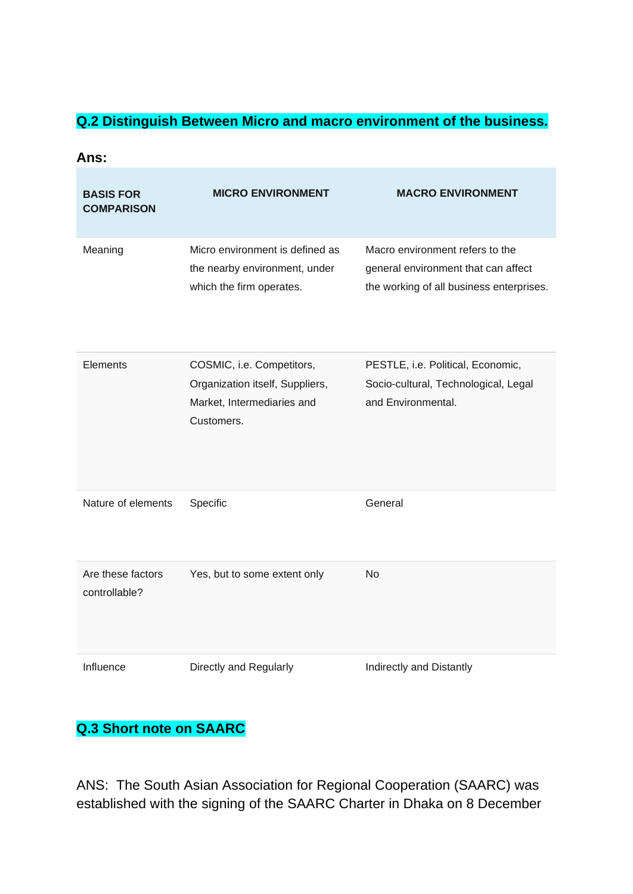#### **Q.2 Distinguish Between Micro and macro environment of the business.**

| Ans:                                  |                                                                                                          |                                                                                                                    |  |
|---------------------------------------|----------------------------------------------------------------------------------------------------------|--------------------------------------------------------------------------------------------------------------------|--|
| <b>BASIS FOR</b><br><b>COMPARISON</b> | <b>MICRO ENVIRONMENT</b>                                                                                 | <b>MACRO ENVIRONMENT</b>                                                                                           |  |
| Meaning                               | Micro environment is defined as<br>the nearby environment, under<br>which the firm operates.             | Macro environment refers to the<br>general environment that can affect<br>the working of all business enterprises. |  |
| Elements                              | COSMIC, i.e. Competitors,<br>Organization itself, Suppliers,<br>Market, Intermediaries and<br>Customers. | PESTLE, i.e. Political, Economic,<br>Socio-cultural, Technological, Legal<br>and Environmental.                    |  |
| Nature of elements                    | Specific                                                                                                 | General                                                                                                            |  |
| Are these factors<br>controllable?    | Yes, but to some extent only                                                                             | <b>No</b>                                                                                                          |  |
| Influence                             | Directly and Regularly                                                                                   | Indirectly and Distantly                                                                                           |  |

# **Q.3 Short note on SAARC**

ANS: The South Asian Association for Regional Cooperation (SAARC) was established with the signing of the SAARC Charter in Dhaka on 8 December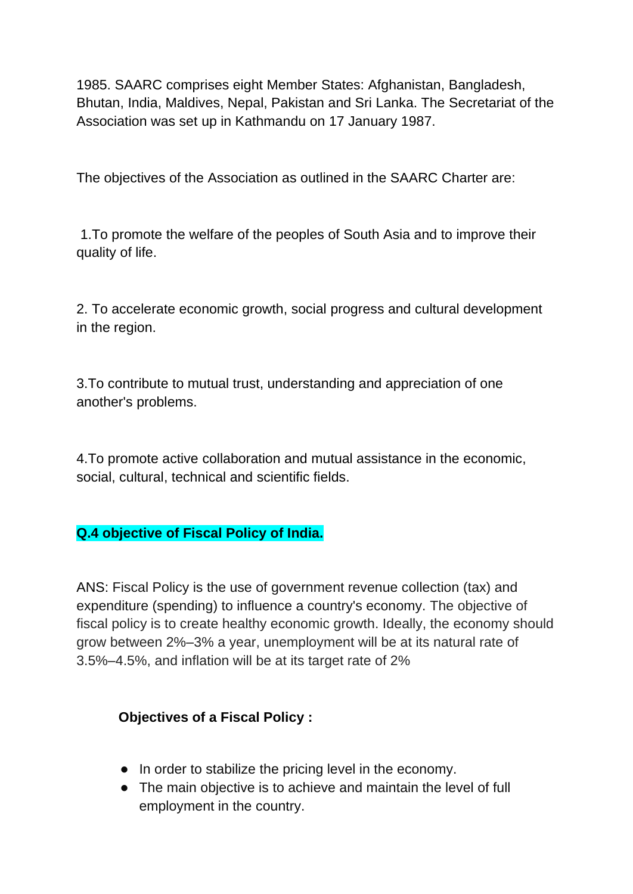1985. SAARC comprises eight Member States: Afghanistan, Bangladesh, Bhutan, India, Maldives, Nepal, Pakistan and Sri Lanka. The Secretariat of the Association was set up in Kathmandu on 17 January 1987.

The objectives of the Association as outlined in the SAARC Charter are:

1.To promote the welfare of the peoples of South Asia and to improve their quality of life.

2. To accelerate economic growth, social progress and cultural development in the region.

3.To contribute to mutual trust, understanding and appreciation of one another's problems.

4.To promote active collaboration and mutual assistance in the economic, social, cultural, technical and scientific fields.

## **Q.4 objective of Fiscal Policy of India.**

ANS: Fiscal Policy is the use of government revenue collection (tax) and expenditure (spending) to influence a country's economy. The objective of fiscal policy is to create healthy economic growth. Ideally, the economy should grow between 2%–3% a year, unemployment will be at its natural rate of 3.5%–4.5%, and inflation will be at its target rate of 2%

## **Objectives of a Fiscal Policy :**

- In order to stabilize the pricing level in the economy.
- The main objective is to achieve and maintain the level of full employment in the country.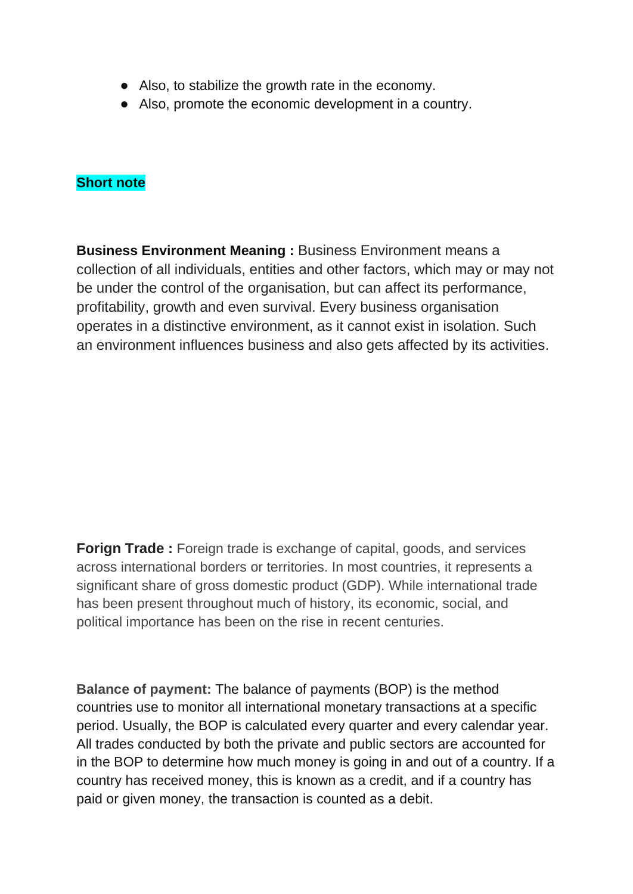- Also, to stabilize the growth rate in the economy.
- Also, promote the economic development in a country.

#### **Short note**

**Business Environment Meaning : Business Environment means a** collection of all individuals, entities and other factors, which may or may not be under the control of the organisation, but can affect its performance, profitability, growth and even survival. Every business organisation operates in a distinctive environment, as it cannot exist in isolation. Such an environment influences business and also gets affected by its activities.

**Forign Trade :** Foreign trade is exchange of capital, goods, and services across international borders or territories. In most countries, it represents a significant share of gross domestic product (GDP). While international trade has been present throughout much of history, its economic, social, and political importance has been on the rise in recent centuries.

**Balance of payment:** The balance of payments (BOP) is the method countries use to monitor all international monetary transactions at a specific period. Usually, the BOP is calculated every quarter and every calendar year. All trades conducted by both the private and public sectors are accounted for in the BOP to determine how much money is going in and out of a country. If a country has received money, this is known as a credit, and if a country has paid or given money, the transaction is counted as a debit.